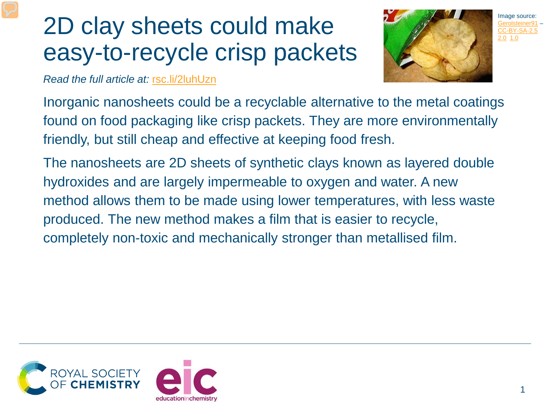## 2D clay sheets could make easy-to-recycle crisp packets



*Read the full article at:* [rsc.li/2luhUzn](https://rsc.li/2luhUzn)

Inorganic nanosheets could be a recyclable alternative to the metal coatings found on food packaging like crisp packets. They are more environmentally friendly, but still cheap and effective at keeping food fresh.

The nanosheets are 2D sheets of synthetic clays known as layered double hydroxides and are largely impermeable to oxygen and water. A new method allows them to be made using lower temperatures, with less waste produced. The new method makes a film that is easier to recycle, completely non-toxic and mechanically stronger than metallised film.